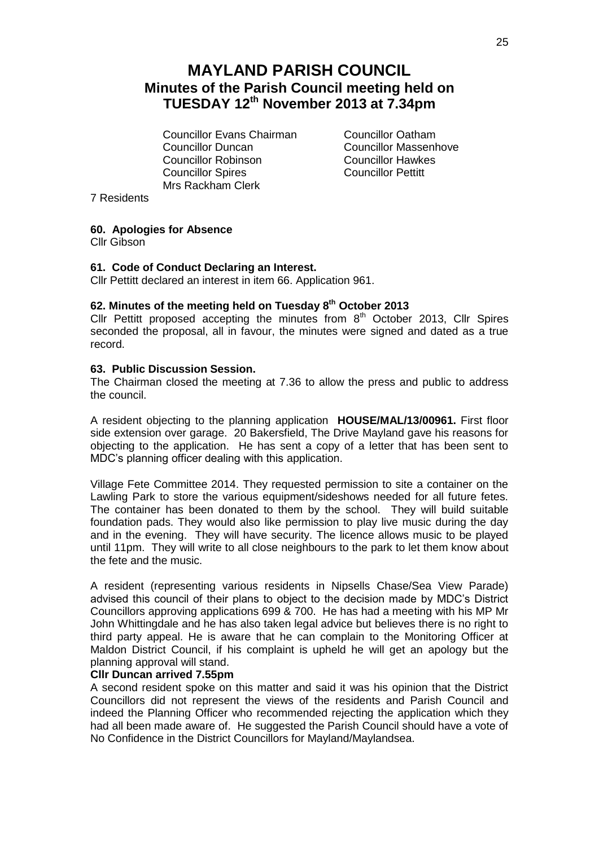# **MAYLAND PARISH COUNCIL Minutes of the Parish Council meeting held on TUESDAY 12th November 2013 at 7.34pm**

Councillor Evans Chairman Councillor Oatham Councillor Duncan<br>
Councillor Robinson<br>
Councillor Hawkes Councillor Robinson Councillor Spires Councillor Pettitt Mrs Rackham Clerk

7 Residents

# **60. Apologies for Absence**

Cllr Gibson

## **61. Code of Conduct Declaring an Interest.**

Cllr Pettitt declared an interest in item 66. Application 961.

# **62. Minutes of the meeting held on Tuesday 8 th October 2013**

Cllr Pettitt proposed accepting the minutes from  $8<sup>th</sup>$  October 2013, Cllr Spires seconded the proposal, all in favour, the minutes were signed and dated as a true record.

## **63. Public Discussion Session.**

The Chairman closed the meeting at 7.36 to allow the press and public to address the council.

A resident objecting to the planning application **HOUSE/MAL/13/00961.** First floor side extension over garage. 20 Bakersfield, The Drive Mayland gave his reasons for objecting to the application. He has sent a copy of a letter that has been sent to MDC's planning officer dealing with this application.

Village Fete Committee 2014. They requested permission to site a container on the Lawling Park to store the various equipment/sideshows needed for all future fetes. The container has been donated to them by the school. They will build suitable foundation pads. They would also like permission to play live music during the day and in the evening. They will have security. The licence allows music to be played until 11pm. They will write to all close neighbours to the park to let them know about the fete and the music.

A resident (representing various residents in Nipsells Chase/Sea View Parade) advised this council of their plans to object to the decision made by MDC's District Councillors approving applications 699 & 700. He has had a meeting with his MP Mr John Whittingdale and he has also taken legal advice but believes there is no right to third party appeal. He is aware that he can complain to the Monitoring Officer at Maldon District Council, if his complaint is upheld he will get an apology but the planning approval will stand.

## **Cllr Duncan arrived 7.55pm**

A second resident spoke on this matter and said it was his opinion that the District Councillors did not represent the views of the residents and Parish Council and indeed the Planning Officer who recommended rejecting the application which they had all been made aware of. He suggested the Parish Council should have a vote of No Confidence in the District Councillors for Mayland/Maylandsea.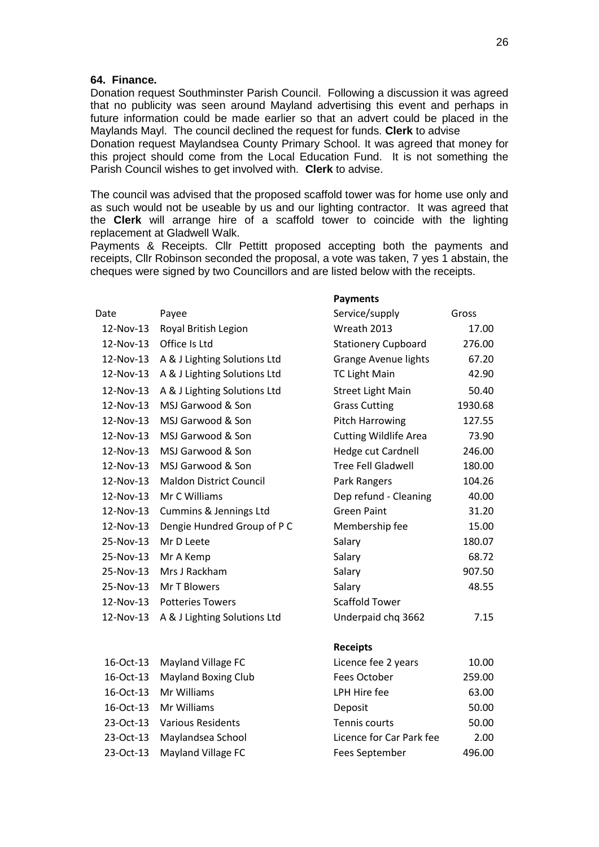#### **64. Finance.**

Donation request Southminster Parish Council. Following a discussion it was agreed that no publicity was seen around Mayland advertising this event and perhaps in future information could be made earlier so that an advert could be placed in the Maylands Mayl. The council declined the request for funds. **Clerk** to advise

Donation request Maylandsea County Primary School. It was agreed that money for this project should come from the Local Education Fund. It is not something the Parish Council wishes to get involved with. **Clerk** to advise.

The council was advised that the proposed scaffold tower was for home use only and as such would not be useable by us and our lighting contractor. It was agreed that the **Clerk** will arrange hire of a scaffold tower to coincide with the lighting replacement at Gladwell Walk.

Payments & Receipts. Cllr Pettitt proposed accepting both the payments and receipts, Cllr Robinson seconded the proposal, a vote was taken, 7 yes 1 abstain, the cheques were signed by two Councillors and are listed below with the receipts.

**Payments**

| Date      | Payee                          | Service/supply               | Gross   |
|-----------|--------------------------------|------------------------------|---------|
| 12-Nov-13 | Royal British Legion           | Wreath 2013                  | 17.00   |
| 12-Nov-13 | Office Is Ltd                  | <b>Stationery Cupboard</b>   | 276.00  |
| 12-Nov-13 | A & J Lighting Solutions Ltd   | Grange Avenue lights         | 67.20   |
| 12-Nov-13 | A & J Lighting Solutions Ltd   | <b>TC Light Main</b>         | 42.90   |
| 12-Nov-13 | A & J Lighting Solutions Ltd   | <b>Street Light Main</b>     | 50.40   |
| 12-Nov-13 | MSJ Garwood & Son              | <b>Grass Cutting</b>         | 1930.68 |
| 12-Nov-13 | MSJ Garwood & Son              | <b>Pitch Harrowing</b>       | 127.55  |
| 12-Nov-13 | MSJ Garwood & Son              | <b>Cutting Wildlife Area</b> | 73.90   |
| 12-Nov-13 | MSJ Garwood & Son              | Hedge cut Cardnell           | 246.00  |
| 12-Nov-13 | MSJ Garwood & Son              | <b>Tree Fell Gladwell</b>    | 180.00  |
| 12-Nov-13 | <b>Maldon District Council</b> | Park Rangers                 | 104.26  |
| 12-Nov-13 | Mr C Williams                  | Dep refund - Cleaning        | 40.00   |
| 12-Nov-13 | Cummins & Jennings Ltd         | <b>Green Paint</b>           | 31.20   |
| 12-Nov-13 | Dengie Hundred Group of P C    | Membership fee               | 15.00   |
| 25-Nov-13 | Mr D Leete                     | Salary                       | 180.07  |
| 25-Nov-13 | Mr A Kemp                      | Salary                       | 68.72   |
| 25-Nov-13 | Mrs J Rackham                  | Salary                       | 907.50  |
| 25-Nov-13 | Mr T Blowers                   | Salary                       | 48.55   |
| 12-Nov-13 | <b>Potteries Towers</b>        | <b>Scaffold Tower</b>        |         |
| 12-Nov-13 | A & J Lighting Solutions Ltd   | Underpaid chq 3662           | 7.15    |
|           |                                | <b>Receipts</b>              |         |
| 16-Oct-13 | Mayland Village FC             | Licence fee 2 years          | 10.00   |
| 16-Oct-13 | <b>Mayland Boxing Club</b>     | Fees October                 | 259.00  |
| 16-Oct-13 | Mr Williams                    | LPH Hire fee                 | 63.00   |
| 16-Oct-13 | Mr Williams                    | Deposit                      | 50.00   |
| 23-Oct-13 | <b>Various Residents</b>       | Tennis courts                | 50.00   |
| 23-Oct-13 | Maylandsea School              | Licence for Car Park fee     | 2.00    |
| 23-Oct-13 | Mayland Village FC             | <b>Fees September</b>        | 496.00  |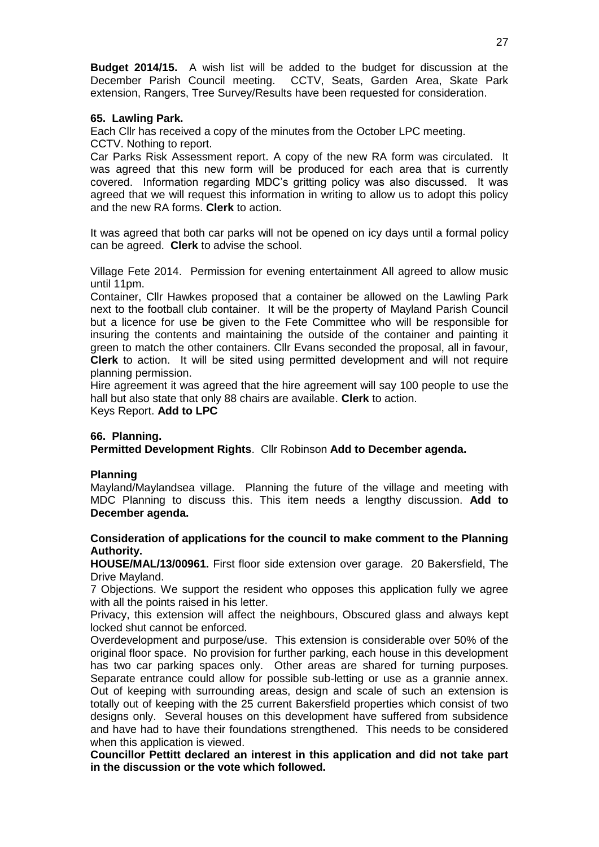**Budget 2014/15.** A wish list will be added to the budget for discussion at the December Parish Council meeting. CCTV, Seats, Garden Area, Skate Park extension, Rangers, Tree Survey/Results have been requested for consideration.

# **65. Lawling Park.**

Each Cllr has received a copy of the minutes from the October LPC meeting.

CCTV. Nothing to report.

Car Parks Risk Assessment report. A copy of the new RA form was circulated. It was agreed that this new form will be produced for each area that is currently covered. Information regarding MDC's gritting policy was also discussed. It was agreed that we will request this information in writing to allow us to adopt this policy and the new RA forms. **Clerk** to action.

It was agreed that both car parks will not be opened on icy days until a formal policy can be agreed. **Clerk** to advise the school.

Village Fete 2014. Permission for evening entertainment All agreed to allow music until 11pm.

Container, Cllr Hawkes proposed that a container be allowed on the Lawling Park next to the football club container. It will be the property of Mayland Parish Council but a licence for use be given to the Fete Committee who will be responsible for insuring the contents and maintaining the outside of the container and painting it green to match the other containers. Cllr Evans seconded the proposal, all in favour, **Clerk** to action. It will be sited using permitted development and will not require planning permission.

Hire agreement it was agreed that the hire agreement will say 100 people to use the hall but also state that only 88 chairs are available. **Clerk** to action. Keys Report. **Add to LPC**

**66. Planning. Permitted Development Rights**. Cllr Robinson **Add to December agenda.**

# **Planning**

Mayland/Maylandsea village. Planning the future of the village and meeting with MDC Planning to discuss this. This item needs a lengthy discussion. **Add to December agenda.**

# **Consideration of applications for the council to make comment to the Planning Authority.**

**HOUSE/MAL/13/00961.** First floor side extension over garage. 20 Bakersfield, The Drive Mayland.

7 Objections. We support the resident who opposes this application fully we agree with all the points raised in his letter.

Privacy, this extension will affect the neighbours, Obscured glass and always kept locked shut cannot be enforced.

Overdevelopment and purpose/use. This extension is considerable over 50% of the original floor space. No provision for further parking, each house in this development has two car parking spaces only. Other areas are shared for turning purposes. Separate entrance could allow for possible sub-letting or use as a grannie annex. Out of keeping with surrounding areas, design and scale of such an extension is totally out of keeping with the 25 current Bakersfield properties which consist of two designs only. Several houses on this development have suffered from subsidence and have had to have their foundations strengthened. This needs to be considered when this application is viewed.

**Councillor Pettitt declared an interest in this application and did not take part in the discussion or the vote which followed.**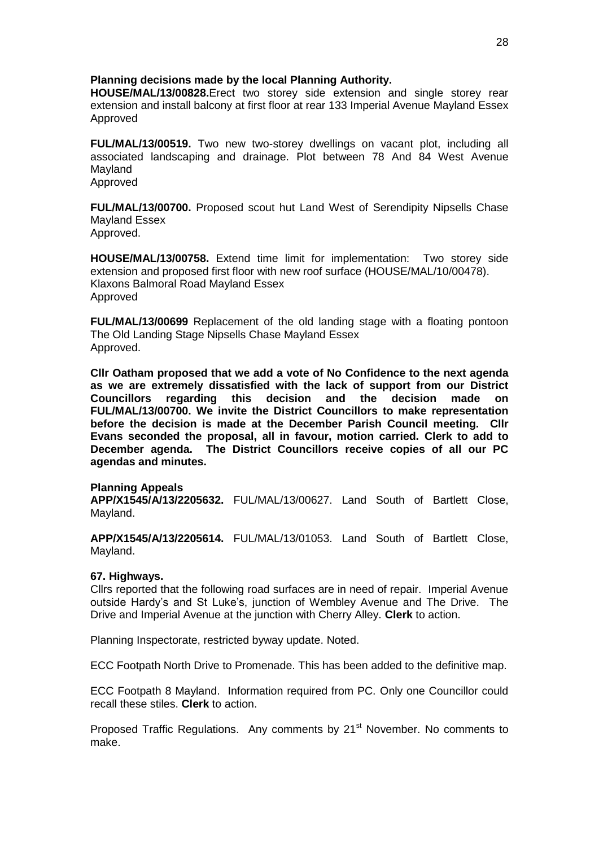## **Planning decisions made by the local Planning Authority.**

**HOUSE/MAL/13/00828.**Erect two storey side extension and single storey rear extension and install balcony at first floor at rear 133 Imperial Avenue Mayland Essex Approved

**FUL/MAL/13/00519.** Two new two-storey dwellings on vacant plot, including all associated landscaping and drainage. Plot between 78 And 84 West Avenue Mayland Approved

**FUL/MAL/13/00700.** Proposed scout hut Land West of Serendipity Nipsells Chase Mayland Essex Approved.

**HOUSE/MAL/13/00758.** Extend time limit for implementation: Two storey side extension and proposed first floor with new roof surface (HOUSE/MAL/10/00478). Klaxons Balmoral Road Mayland Essex Approved

**FUL/MAL/13/00699** Replacement of the old landing stage with a floating pontoon The Old Landing Stage Nipsells Chase Mayland Essex Approved.

**Cllr Oatham proposed that we add a vote of No Confidence to the next agenda as we are extremely dissatisfied with the lack of support from our District Councillors regarding this decision and the decision made on FUL/MAL/13/00700. We invite the District Councillors to make representation before the decision is made at the December Parish Council meeting. Cllr Evans seconded the proposal, all in favour, motion carried. Clerk to add to December agenda. The District Councillors receive copies of all our PC agendas and minutes.**

## **Planning Appeals**

**APP/X1545/A/13/2205632.** FUL/MAL/13/00627. Land South of Bartlett Close, Mayland.

**APP/X1545/A/13/2205614.** FUL/MAL/13/01053. Land South of Bartlett Close, Mayland.

## **67. Highways.**

Cllrs reported that the following road surfaces are in need of repair. Imperial Avenue outside Hardy's and St Luke's, junction of Wembley Avenue and The Drive. The Drive and Imperial Avenue at the junction with Cherry Alley. **Clerk** to action.

Planning Inspectorate, restricted byway update. Noted.

ECC Footpath North Drive to Promenade. This has been added to the definitive map.

ECC Footpath 8 Mayland. Information required from PC. Only one Councillor could recall these stiles. **Clerk** to action.

Proposed Traffic Regulations. Any comments by 21<sup>st</sup> November. No comments to make.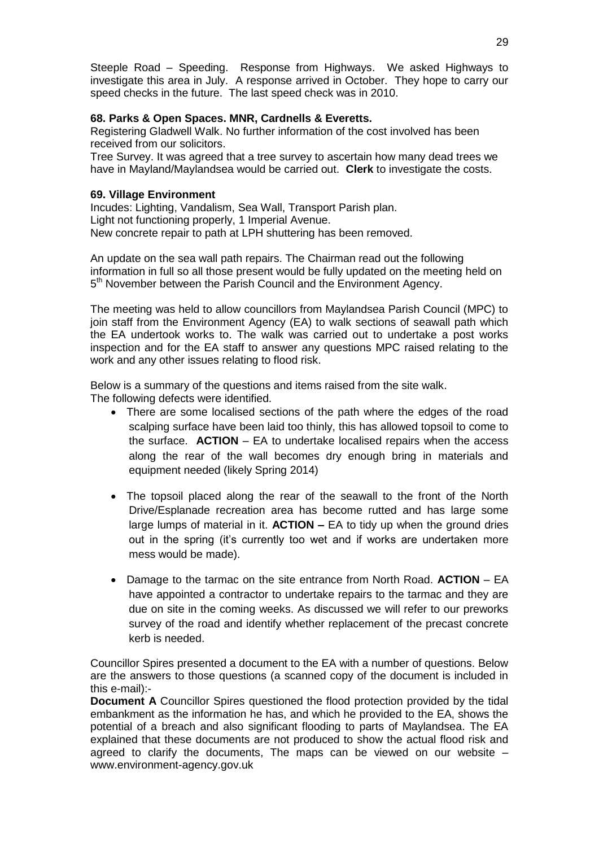Steeple Road – Speeding. Response from Highways. We asked Highways to investigate this area in July. A response arrived in October. They hope to carry our speed checks in the future. The last speed check was in 2010.

# **68. Parks & Open Spaces. MNR, Cardnells & Everetts.**

Registering Gladwell Walk. No further information of the cost involved has been received from our solicitors.

Tree Survey. It was agreed that a tree survey to ascertain how many dead trees we have in Mayland/Maylandsea would be carried out. **Clerk** to investigate the costs.

# **69. Village Environment**

Incudes: Lighting, Vandalism, Sea Wall, Transport Parish plan. Light not functioning properly, 1 Imperial Avenue. New concrete repair to path at LPH shuttering has been removed.

An update on the sea wall path repairs. The Chairman read out the following information in full so all those present would be fully updated on the meeting held on 5<sup>th</sup> November between the Parish Council and the Environment Agency.

The meeting was held to allow councillors from Maylandsea Parish Council (MPC) to join staff from the Environment Agency (EA) to walk sections of seawall path which the EA undertook works to. The walk was carried out to undertake a post works inspection and for the EA staff to answer any questions MPC raised relating to the work and any other issues relating to flood risk.

Below is a summary of the questions and items raised from the site walk. The following defects were identified.

- There are some localised sections of the path where the edges of the road scalping surface have been laid too thinly, this has allowed topsoil to come to the surface. **ACTION** – EA to undertake localised repairs when the access along the rear of the wall becomes dry enough bring in materials and equipment needed (likely Spring 2014)
- The topsoil placed along the rear of the seawall to the front of the North Drive/Esplanade recreation area has become rutted and has large some large lumps of material in it. **ACTION –** EA to tidy up when the ground dries out in the spring (it's currently too wet and if works are undertaken more mess would be made).
- Damage to the tarmac on the site entrance from North Road. **ACTION** EA have appointed a contractor to undertake repairs to the tarmac and they are due on site in the coming weeks. As discussed we will refer to our preworks survey of the road and identify whether replacement of the precast concrete kerb is needed.

Councillor Spires presented a document to the EA with a number of questions. Below are the answers to those questions (a scanned copy of the document is included in this e-mail):-

**Document A** Councillor Spires questioned the flood protection provided by the tidal embankment as the information he has, and which he provided to the EA, shows the potential of a breach and also significant flooding to parts of Maylandsea. The EA explained that these documents are not produced to show the actual flood risk and agreed to clarify the documents, The maps can be viewed on our website – www.environment-agency.gov.uk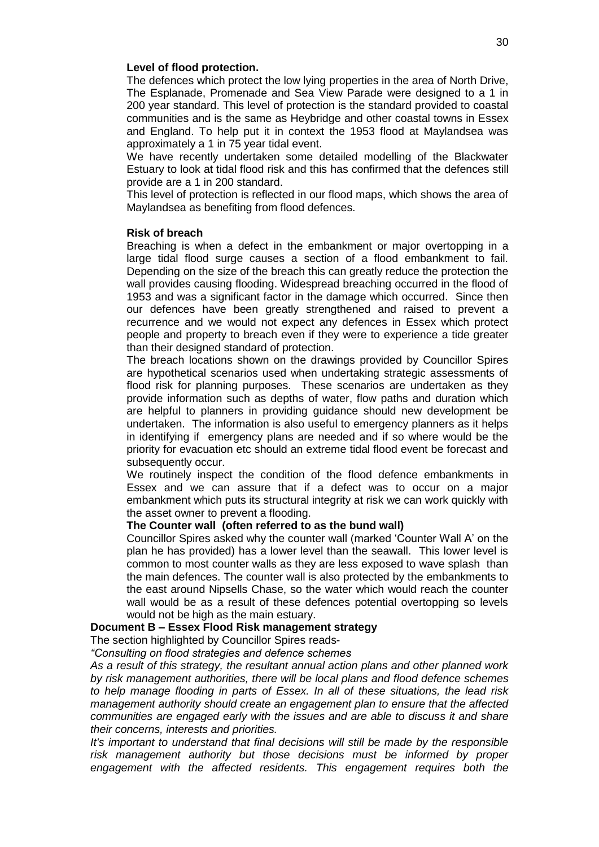#### **Level of flood protection.**

The defences which protect the low lying properties in the area of North Drive, The Esplanade, Promenade and Sea View Parade were designed to a 1 in 200 year standard. This level of protection is the standard provided to coastal communities and is the same as Heybridge and other coastal towns in Essex and England. To help put it in context the 1953 flood at Maylandsea was approximately a 1 in 75 year tidal event.

We have recently undertaken some detailed modelling of the Blackwater Estuary to look at tidal flood risk and this has confirmed that the defences still provide are a 1 in 200 standard.

This level of protection is reflected in our flood maps, which shows the area of Maylandsea as benefiting from flood defences.

#### **Risk of breach**

Breaching is when a defect in the embankment or major overtopping in a large tidal flood surge causes a section of a flood embankment to fail. Depending on the size of the breach this can greatly reduce the protection the wall provides causing flooding. Widespread breaching occurred in the flood of 1953 and was a significant factor in the damage which occurred. Since then our defences have been greatly strengthened and raised to prevent a recurrence and we would not expect any defences in Essex which protect people and property to breach even if they were to experience a tide greater than their designed standard of protection.

The breach locations shown on the drawings provided by Councillor Spires are hypothetical scenarios used when undertaking strategic assessments of flood risk for planning purposes. These scenarios are undertaken as they provide information such as depths of water, flow paths and duration which are helpful to planners in providing guidance should new development be undertaken. The information is also useful to emergency planners as it helps in identifying if emergency plans are needed and if so where would be the priority for evacuation etc should an extreme tidal flood event be forecast and subsequently occur.

We routinely inspect the condition of the flood defence embankments in Essex and we can assure that if a defect was to occur on a major embankment which puts its structural integrity at risk we can work quickly with the asset owner to prevent a flooding.

#### **The Counter wall (often referred to as the bund wall)**

Councillor Spires asked why the counter wall (marked 'Counter Wall A' on the plan he has provided) has a lower level than the seawall. This lower level is common to most counter walls as they are less exposed to wave splash than the main defences. The counter wall is also protected by the embankments to the east around Nipsells Chase, so the water which would reach the counter wall would be as a result of these defences potential overtopping so levels would not be high as the main estuary.

#### **Document B – Essex Flood Risk management strategy**

The section highlighted by Councillor Spires reads-

*"Consulting on flood strategies and defence schemes*

*As a result of this strategy, the resultant annual action plans and other planned work by risk management authorities, there will be local plans and flood defence schemes to help manage flooding in parts of Essex. In all of these situations, the lead risk management authority should create an engagement plan to ensure that the affected communities are engaged early with the issues and are able to discuss it and share their concerns, interests and priorities.*

*It's important to understand that final decisions will still be made by the responsible risk management authority but those decisions must be informed by proper engagement with the affected residents. This engagement requires both the*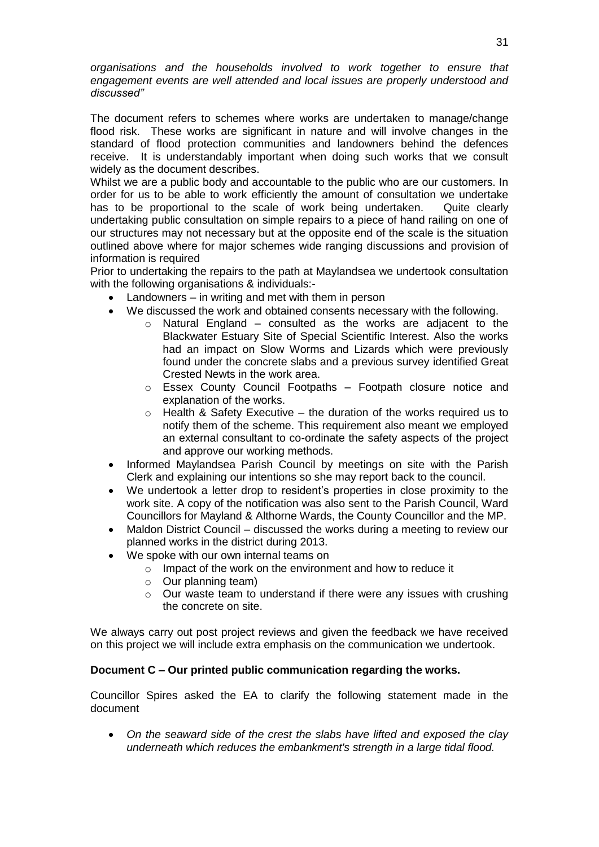*organisations and the households involved to work together to ensure that engagement events are well attended and local issues are properly understood and discussed"*

The document refers to schemes where works are undertaken to manage/change flood risk. These works are significant in nature and will involve changes in the standard of flood protection communities and landowners behind the defences receive. It is understandably important when doing such works that we consult widely as the document describes.

Whilst we are a public body and accountable to the public who are our customers. In order for us to be able to work efficiently the amount of consultation we undertake has to be proportional to the scale of work being undertaken. Quite clearly undertaking public consultation on simple repairs to a piece of hand railing on one of our structures may not necessary but at the opposite end of the scale is the situation outlined above where for major schemes wide ranging discussions and provision of information is required

Prior to undertaking the repairs to the path at Maylandsea we undertook consultation with the following organisations & individuals:-

- Landowners in writing and met with them in person
- We discussed the work and obtained consents necessary with the following.
	- o Natural England consulted as the works are adjacent to the Blackwater Estuary Site of Special Scientific Interest. Also the works had an impact on Slow Worms and Lizards which were previously found under the concrete slabs and a previous survey identified Great Crested Newts in the work area.
	- o Essex County Council Footpaths Footpath closure notice and explanation of the works.
	- $\circ$  Health & Safety Executive the duration of the works required us to notify them of the scheme. This requirement also meant we employed an external consultant to co-ordinate the safety aspects of the project and approve our working methods.
- Informed Maylandsea Parish Council by meetings on site with the Parish Clerk and explaining our intentions so she may report back to the council.
- We undertook a letter drop to resident's properties in close proximity to the work site. A copy of the notification was also sent to the Parish Council, Ward Councillors for Mayland & Althorne Wards, the County Councillor and the MP.
- Maldon District Council discussed the works during a meeting to review our planned works in the district during 2013.
- We spoke with our own internal teams on
	- $\circ$  Impact of the work on the environment and how to reduce it
	- o Our planning team)
	- o Our waste team to understand if there were any issues with crushing the concrete on site.

We always carry out post project reviews and given the feedback we have received on this project we will include extra emphasis on the communication we undertook.

# **Document C – Our printed public communication regarding the works.**

Councillor Spires asked the EA to clarify the following statement made in the document

 *On the seaward side of the crest the slabs have lifted and exposed the clay underneath which reduces the embankment's strength in a large tidal flood.*